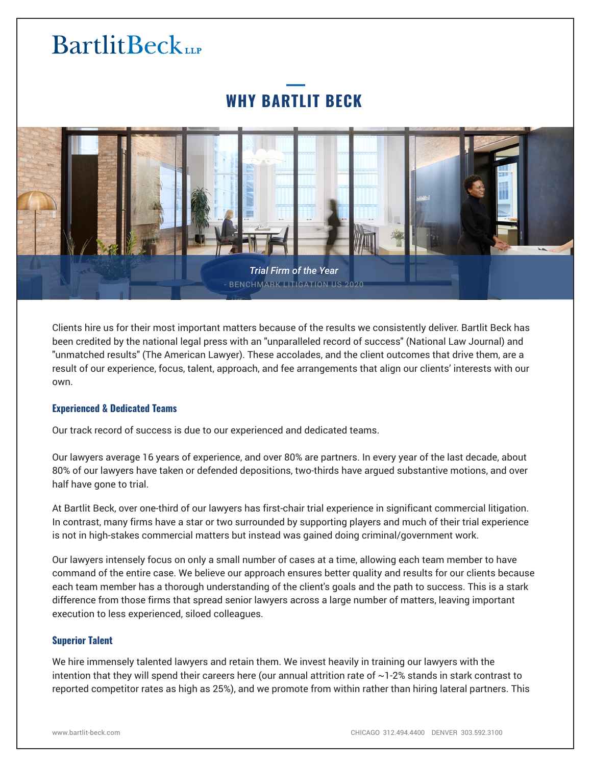## **WHY BARTLIT BECK**



Clients hire us for their most important matters because of the results we consistently deliver. Bartlit Beck has been credited by the national legal press with an "unparalleled record of success" (National Law Journal) and "unmatched results" (The American Lawyer). These accolades, and the client outcomes that drive them, are a result of our experience, focus, talent, approach, and fee arrangements that align our clients' interests with our own.

## **Experienced & Dedicated Teams**

Our track record of success is due to our experienced and dedicated teams.

Our lawyers average 16 years of experience, and over 80% are partners. In every year of the last decade, about 80% of our lawyers have taken or defended depositions, two-thirds have argued substantive motions, and over half have gone to trial.

At Bartlit Beck, over one-third of our lawyers has first-chair trial experience in significant commercial litigation. In contrast, many firms have a star or two surrounded by supporting players and much of their trial experience is not in high-stakes commercial matters but instead was gained doing criminal/government work.

Our lawyers intensely focus on only a small number of cases at a time, allowing each team member to have command of the entire case. We believe our approach ensures better quality and results for our clients because each team member has a thorough understanding of the client's goals and the path to success. This is a stark difference from those firms that spread senior lawyers across a large number of matters, leaving important execution to less experienced, siloed colleagues.

#### **Superior Talent**

We hire immensely talented lawyers and retain them. We invest heavily in training our lawyers with the intention that they will spend their careers here (our annual attrition rate of ~1‑2% stands in stark contrast to reported competitor rates as high as 25%), and we promote from within rather than hiring lateral partners. This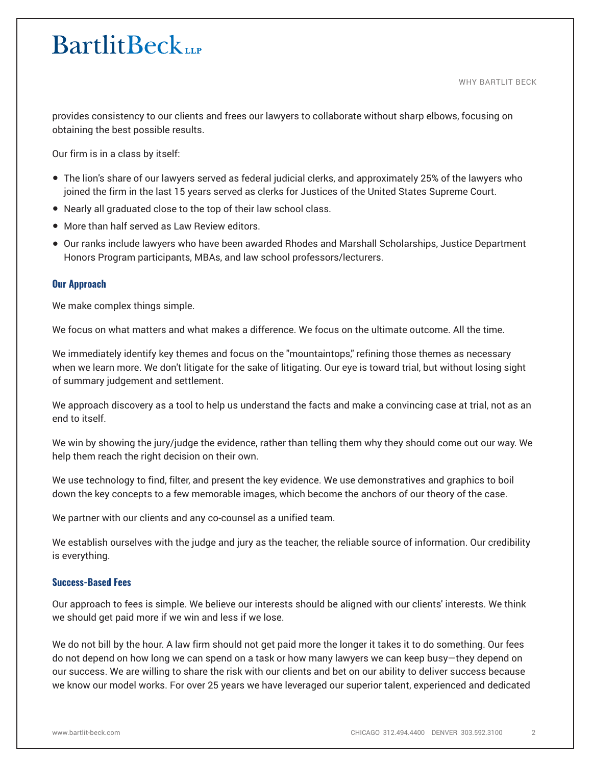WHY BARTLIT BECK

provides consistency to our clients and frees our lawyers to collaborate without sharp elbows, focusing on obtaining the best possible results.

Our firm is in a class by itself:

- The lion's share of our lawyers served as federal judicial clerks, and approximately 25% of the lawyers who joined the firm in the last 15 years served as clerks for Justices of the United States Supreme Court.
- Nearly all graduated close to the top of their law school class.
- More than half served as Law Review editors.
- Our ranks include lawyers who have been awarded Rhodes and Marshall Scholarships, Justice Department Honors Program participants, MBAs, and law school professors/lecturers.

#### **Our Approach**

We make complex things simple.

We focus on what matters and what makes a difference. We focus on the ultimate outcome. All the time.

We immediately identify key themes and focus on the "mountaintops" refining those themes as necessary when we learn more. We don't litigate for the sake of litigating. Our eye is toward trial, but without losing sight of summary judgement and settlement.

We approach discovery as a tool to help us understand the facts and make a convincing case at trial, not as an end to itself.

We win by showing the jury/judge the evidence, rather than telling them why they should come out our way. We help them reach the right decision on their own.

We use technology to find, filter, and present the key evidence. We use demonstratives and graphics to boil down the key concepts to a few memorable images, which become the anchors of our theory of the case.

We partner with our clients and any co-counsel as a unified team.

We establish ourselves with the judge and jury as the teacher, the reliable source of information. Our credibility is everything.

## **Success-Based Fees**

Our approach to fees is simple. We believe our interests should be aligned with our clients' interests. We think we should get paid more if we win and less if we lose.

We do not bill by the hour. A law firm should not get paid more the longer it takes it to do something. Our fees do not depend on how long we can spend on a task or how many lawyers we can keep busy—they depend on our success. We are willing to share the risk with our clients and bet on our ability to deliver success because we know our model works. For over 25 years we have leveraged our superior talent, experienced and dedicated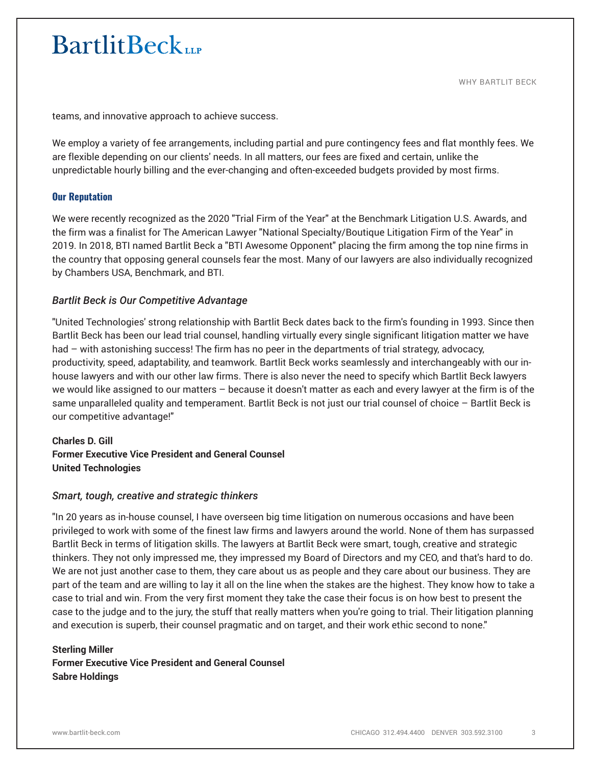WHY BARTLIT BECK

teams, and innovative approach to achieve success.

We employ a variety of fee arrangements, including partial and pure contingency fees and flat monthly fees. We are flexible depending on our clients' needs. In all matters, our fees are fixed and certain, unlike the unpredictable hourly billing and the ever-changing and often-exceeded budgets provided by most firms.

## **Our Reputation**

We were recently recognized as the 2020 "Trial Firm of the Year" at the Benchmark Litigation U.S. Awards, and the firm was a finalist for The American Lawyer "National Specialty/Boutique Litigation Firm of the Year" in 2019. In 2018, BTI named Bartlit Beck a "BTI Awesome Opponent" placing the firm among the top nine firms in the country that opposing general counsels fear the most. Many of our lawyers are also individually recognized by Chambers USA, Benchmark, and BTI.

## *Bartlit Beck is Our Competitive Advantage*

"United Technologies' strong relationship with Bartlit Beck dates back to the firm's founding in 1993. Since then Bartlit Beck has been our lead trial counsel, handling virtually every single significant litigation matter we have had – with astonishing success! The firm has no peer in the departments of trial strategy, advocacy, productivity, speed, adaptability, and teamwork. Bartlit Beck works seamlessly and interchangeably with our inhouse lawyers and with our other law firms. There is also never the need to specify which Bartlit Beck lawyers we would like assigned to our matters – because it doesn't matter as each and every lawyer at the firm is of the same unparalleled quality and temperament. Bartlit Beck is not just our trial counsel of choice – Bartlit Beck is our competitive advantage!"

**Charles D. Gill Former Executive Vice President and General Counsel United Technologies**

## *Smart, tough, creative and strategic thinkers*

"In 20 years as in-house counsel, I have overseen big time litigation on numerous occasions and have been privileged to work with some of the finest law firms and lawyers around the world. None of them has surpassed Bartlit Beck in terms of litigation skills. The lawyers at Bartlit Beck were smart, tough, creative and strategic thinkers. They not only impressed me, they impressed my Board of Directors and my CEO, and that's hard to do. We are not just another case to them, they care about us as people and they care about our business. They are part of the team and are willing to lay it all on the line when the stakes are the highest. They know how to take a case to trial and win. From the very first moment they take the case their focus is on how best to present the case to the judge and to the jury, the stuff that really matters when you're going to trial. Their litigation planning and execution is superb, their counsel pragmatic and on target, and their work ethic second to none."

## **Sterling Miller Former Executive Vice President and General Counsel Sabre Holdings**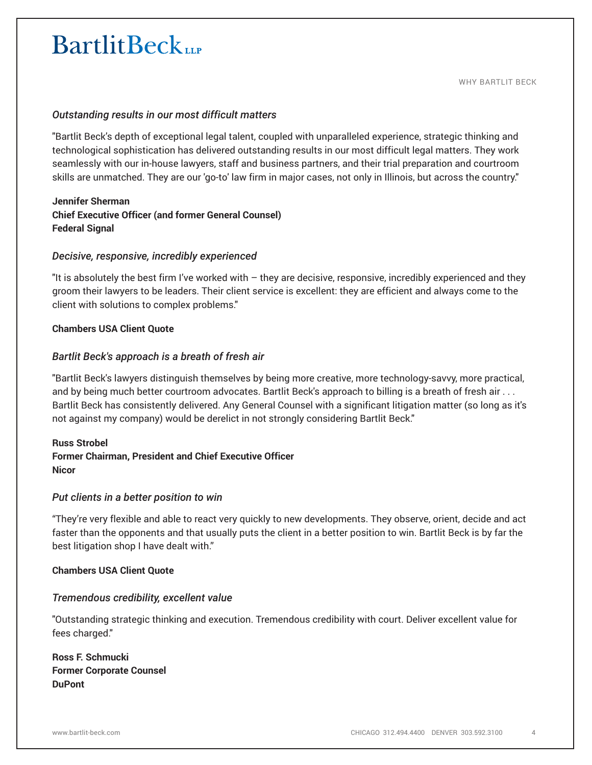## *Outstanding results in our most difficult matters*

"Bartlit Beck's depth of exceptional legal talent, coupled with unparalleled experience, strategic thinking and technological sophistication has delivered outstanding results in our most difficult legal matters. They work seamlessly with our in-house lawyers, staff and business partners, and their trial preparation and courtroom skills are unmatched. They are our 'go-to' law firm in major cases, not only in Illinois, but across the country."

## **Jennifer Sherman Chief Executive Officer (and former General Counsel) Federal Signal**

## *Decisive, responsive, incredibly experienced*

"It is absolutely the best firm I've worked with – they are decisive, responsive, incredibly experienced and they groom their lawyers to be leaders. Their client service is excellent: they are efficient and always come to the client with solutions to complex problems."

## **Chambers USA Client Quote**

## *Bartlit Beck's approach is a breath of fresh air*

"Bartlit Beck's lawyers distinguish themselves by being more creative, more technology-savvy, more practical, and by being much better courtroom advocates. Bartlit Beck's approach to billing is a breath of fresh air . . . Bartlit Beck has consistently delivered. Any General Counsel with a significant litigation matter (so long as it's not against my company) would be derelict in not strongly considering Bartlit Beck."

## **Russ Strobel Former Chairman, President and Chief Executive Officer Nicor**

## *Put clients in a better position to win*

"They're very flexible and able to react very quickly to new developments. They observe, orient, decide and act faster than the opponents and that usually puts the client in a better position to win. Bartlit Beck is by far the best litigation shop I have dealt with."

#### **Chambers USA Client Quote**

## *Tremendous credibility, excellent value*

"Outstanding strategic thinking and execution. Tremendous credibility with court. Deliver excellent value for fees charged."

**Ross F. Schmucki Former Corporate Counsel DuPont**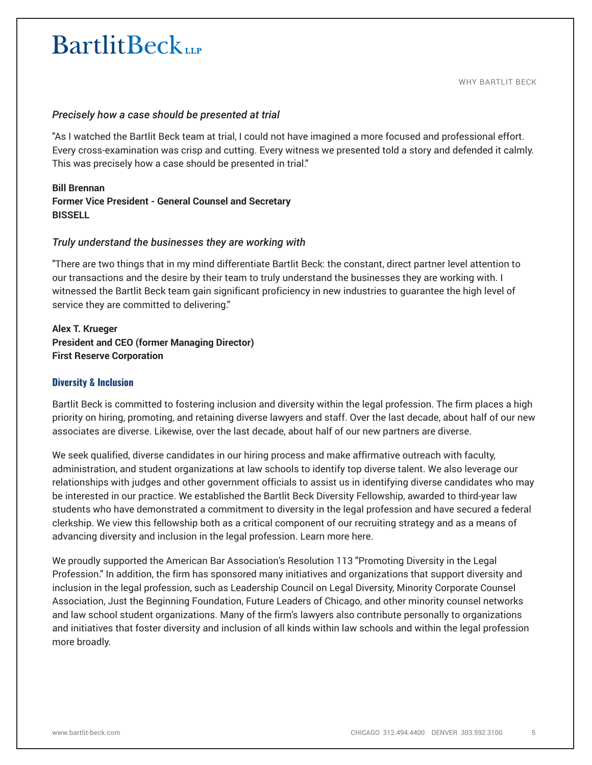## *Precisely how a case should be presented at trial*

"As I watched the Bartlit Beck team at trial, I could not have imagined a more focused and professional effort. Every cross-examination was crisp and cutting. Every witness we presented told a story and defended it calmly. This was precisely how a case should be presented in trial."

#### **Bill Brennan**

## **Former Vice President - General Counsel and Secretary BISSELL**

## *Truly understand the businesses they are working with*

"There are two things that in my mind differentiate Bartlit Beck: the constant, direct partner level attention to our transactions and the desire by their team to truly understand the businesses they are working with. I witnessed the Bartlit Beck team gain significant proficiency in new industries to guarantee the high level of service they are committed to delivering."

## **Alex T. Krueger President and CEO (former Managing Director) First Reserve Corporation**

#### **Diversity & Inclusion**

Bartlit Beck is committed to fostering inclusion and diversity within the legal profession. The firm places a high priority on hiring, promoting, and retaining diverse lawyers and staff. Over the last decade, about half of our new associates are diverse. Likewise, over the last decade, about half of our new partners are diverse.

We seek qualified, diverse candidates in our hiring process and make affirmative outreach with faculty, administration, and student organizations at law schools to identify top diverse talent. We also leverage our relationships with judges and other government officials to assist us in identifying diverse candidates who may be interested in our practice. We established the Bartlit Beck Diversity Fellowship, awarded to third-year law students who have demonstrated a commitment to diversity in the legal profession and have secured a federal clerkship. We view this fellowship both as a critical component of our recruiting strategy and as a means of advancing diversity and inclusion in the legal profession. Learn more here.

We proudly supported the American Bar Association's Resolution 113 "Promoting Diversity in the Legal Profession." In addition, the firm has sponsored many initiatives and organizations that support diversity and inclusion in the legal profession, such as Leadership Council on Legal Diversity, Minority Corporate Counsel Association, Just the Beginning Foundation, Future Leaders of Chicago, and other minority counsel networks and law school student organizations. Many of the firm's lawyers also contribute personally to organizations and initiatives that foster diversity and inclusion of all kinds within law schools and within the legal profession more broadly.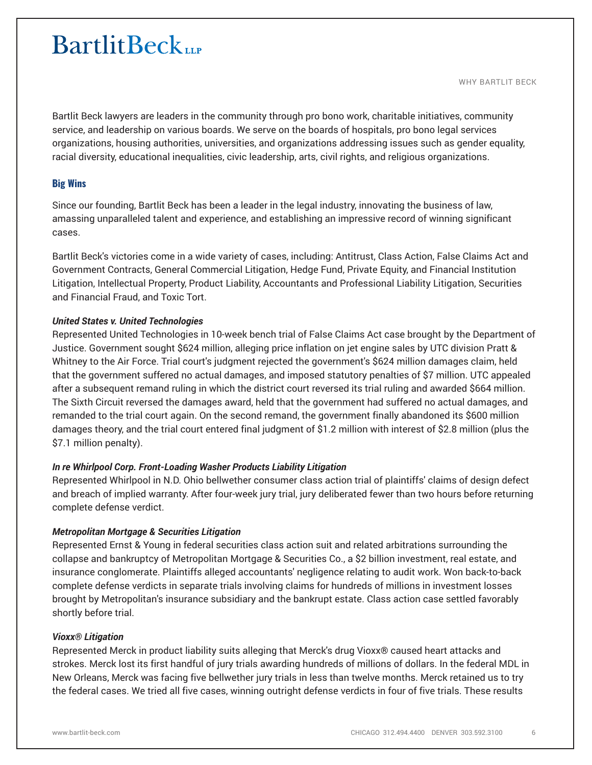WHY BARTLIT BECK

Bartlit Beck lawyers are leaders in the community through pro bono work, charitable initiatives, community service, and leadership on various boards. We serve on the boards of hospitals, pro bono legal services organizations, housing authorities, universities, and organizations addressing issues such as gender equality, racial diversity, educational inequalities, civic leadership, arts, civil rights, and religious organizations.

## **Big Wins**

Since our founding, Bartlit Beck has been a leader in the legal industry, innovating the business of law, amassing unparalleled talent and experience, and establishing an impressive record of winning significant cases.

Bartlit Beck's victories come in a wide variety of cases, including: Antitrust, Class Action, False Claims Act and Government Contracts, General Commercial Litigation, Hedge Fund, Private Equity, and Financial Institution Litigation, Intellectual Property, Product Liability, Accountants and Professional Liability Litigation, Securities and Financial Fraud, and Toxic Tort.

## *United States v. United Technologies*

Represented United Technologies in 10-week bench trial of False Claims Act case brought by the Department of Justice. Government sought \$624 million, alleging price inflation on jet engine sales by UTC division Pratt & Whitney to the Air Force. Trial court's judgment rejected the government's \$624 million damages claim, held that the government suffered no actual damages, and imposed statutory penalties of \$7 million. UTC appealed after a subsequent remand ruling in which the district court reversed its trial ruling and awarded \$664 million. The Sixth Circuit reversed the damages award, held that the government had suffered no actual damages, and remanded to the trial court again. On the second remand, the government finally abandoned its \$600 million damages theory, and the trial court entered final judgment of \$1.2 million with interest of \$2.8 million (plus the \$7.1 million penalty).

## *In re Whirlpool Corp. Front-Loading Washer Products Liability Litigation*

Represented Whirlpool in N.D. Ohio bellwether consumer class action trial of plaintiffs' claims of design defect and breach of implied warranty. After four-week jury trial, jury deliberated fewer than two hours before returning complete defense verdict.

## *Metropolitan Mortgage & Securities Litigation*

Represented Ernst & Young in federal securities class action suit and related arbitrations surrounding the collapse and bankruptcy of Metropolitan Mortgage & Securities Co., a \$2 billion investment, real estate, and insurance conglomerate. Plaintiffs alleged accountants' negligence relating to audit work. Won back-to-back complete defense verdicts in separate trials involving claims for hundreds of millions in investment losses brought by Metropolitan's insurance subsidiary and the bankrupt estate. Class action case settled favorably shortly before trial.

## *Vioxx® Litigation*

Represented Merck in product liability suits alleging that Merck's drug Vioxx® caused heart attacks and strokes. Merck lost its first handful of jury trials awarding hundreds of millions of dollars. In the federal MDL in New Orleans, Merck was facing five bellwether jury trials in less than twelve months. Merck retained us to try the federal cases. We tried all five cases, winning outright defense verdicts in four of five trials. These results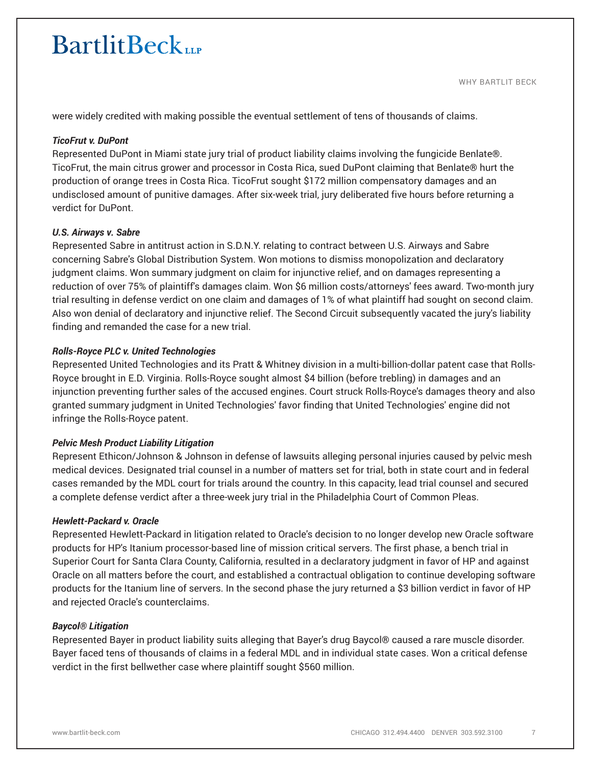were widely credited with making possible the eventual settlement of tens of thousands of claims.

#### *TicoFrut v. DuPont*

Represented DuPont in Miami state jury trial of product liability claims involving the fungicide Benlate®. TicoFrut, the main citrus grower and processor in Costa Rica, sued DuPont claiming that Benlate® hurt the production of orange trees in Costa Rica. TicoFrut sought \$172 million compensatory damages and an undisclosed amount of punitive damages. After six-week trial, jury deliberated five hours before returning a verdict for DuPont.

#### *U.S. Airways v. Sabre*

Represented Sabre in antitrust action in S.D.N.Y. relating to contract between U.S. Airways and Sabre concerning Sabre's Global Distribution System. Won motions to dismiss monopolization and declaratory judgment claims. Won summary judgment on claim for injunctive relief, and on damages representing a reduction of over 75% of plaintiff's damages claim. Won \$6 million costs/attorneys' fees award. Two-month jury trial resulting in defense verdict on one claim and damages of 1% of what plaintiff had sought on second claim. Also won denial of declaratory and injunctive relief. The Second Circuit subsequently vacated the jury's liability finding and remanded the case for a new trial.

#### *Rolls-Royce PLC v. United Technologies*

Represented United Technologies and its Pratt & Whitney division in a multi-billion-dollar patent case that Rolls-Royce brought in E.D. Virginia. Rolls-Royce sought almost \$4 billion (before trebling) in damages and an injunction preventing further sales of the accused engines. Court struck Rolls-Royce's damages theory and also granted summary judgment in United Technologies' favor finding that United Technologies' engine did not infringe the Rolls-Royce patent.

## *Pelvic Mesh Product Liability Litigation*

Represent Ethicon/Johnson & Johnson in defense of lawsuits alleging personal injuries caused by pelvic mesh medical devices. Designated trial counsel in a number of matters set for trial, both in state court and in federal cases remanded by the MDL court for trials around the country. In this capacity, lead trial counsel and secured a complete defense verdict after a three-week jury trial in the Philadelphia Court of Common Pleas.

#### *Hewlett-Packard v. Oracle*

Represented Hewlett-Packard in litigation related to Oracle's decision to no longer develop new Oracle software products for HP's Itanium processor-based line of mission critical servers. The first phase, a bench trial in Superior Court for Santa Clara County, California, resulted in a declaratory judgment in favor of HP and against Oracle on all matters before the court, and established a contractual obligation to continue developing software products for the Itanium line of servers. In the second phase the jury returned a \$3 billion verdict in favor of HP and rejected Oracle's counterclaims.

#### *Baycol® Litigation*

Represented Bayer in product liability suits alleging that Bayer's drug Baycol® caused a rare muscle disorder. Bayer faced tens of thousands of claims in a federal MDL and in individual state cases. Won a critical defense verdict in the first bellwether case where plaintiff sought \$560 million.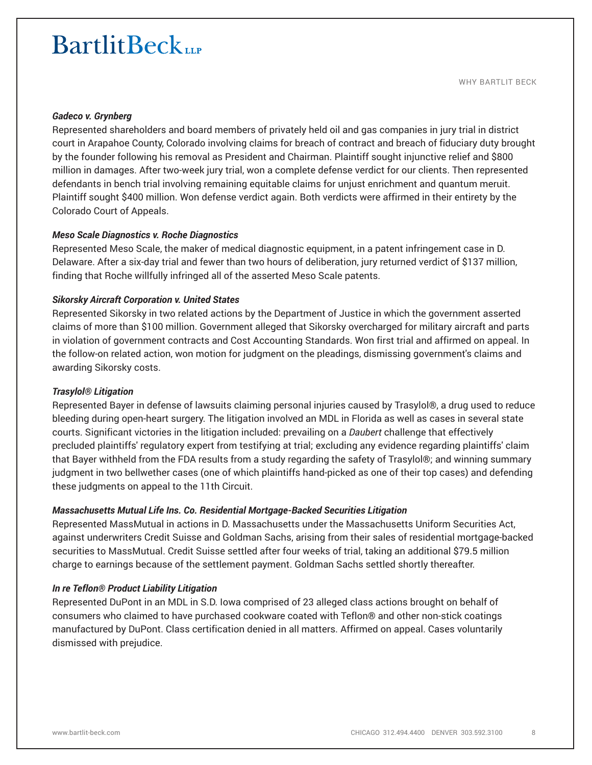#### *Gadeco v. Grynberg*

Represented shareholders and board members of privately held oil and gas companies in jury trial in district court in Arapahoe County, Colorado involving claims for breach of contract and breach of fiduciary duty brought by the founder following his removal as President and Chairman. Plaintiff sought injunctive relief and \$800 million in damages. After two-week jury trial, won a complete defense verdict for our clients. Then represented defendants in bench trial involving remaining equitable claims for unjust enrichment and quantum meruit. Plaintiff sought \$400 million. Won defense verdict again. Both verdicts were affirmed in their entirety by the Colorado Court of Appeals.

#### *Meso Scale Diagnostics v. Roche Diagnostics*

Represented Meso Scale, the maker of medical diagnostic equipment, in a patent infringement case in D. Delaware. After a six-day trial and fewer than two hours of deliberation, jury returned verdict of \$137 million, finding that Roche willfully infringed all of the asserted Meso Scale patents.

#### *Sikorsky Aircraft Corporation v. United States*

Represented Sikorsky in two related actions by the Department of Justice in which the government asserted claims of more than \$100 million. Government alleged that Sikorsky overcharged for military aircraft and parts in violation of government contracts and Cost Accounting Standards. Won first trial and affirmed on appeal. In the follow-on related action, won motion for judgment on the pleadings, dismissing government's claims and awarding Sikorsky costs.

#### *Trasylol® Litigation*

Represented Bayer in defense of lawsuits claiming personal injuries caused by Trasylol®, a drug used to reduce bleeding during open-heart surgery. The litigation involved an MDL in Florida as well as cases in several state courts. Significant victories in the litigation included: prevailing on a *Daubert* challenge that effectively precluded plaintiffs' regulatory expert from testifying at trial; excluding any evidence regarding plaintiffs' claim that Bayer withheld from the FDA results from a study regarding the safety of Trasylol®; and winning summary judgment in two bellwether cases (one of which plaintiffs hand-picked as one of their top cases) and defending these judgments on appeal to the 11th Circuit.

#### *Massachusetts Mutual Life Ins. Co. Residential Mortgage-Backed Securities Litigation*

Represented MassMutual in actions in D. Massachusetts under the Massachusetts Uniform Securities Act, against underwriters Credit Suisse and Goldman Sachs, arising from their sales of residential mortgage-backed securities to MassMutual. Credit Suisse settled after four weeks of trial, taking an additional \$79.5 million charge to earnings because of the settlement payment. Goldman Sachs settled shortly thereafter.

#### *In re Teflon® Product Liability Litigation*

Represented DuPont in an MDL in S.D. Iowa comprised of 23 alleged class actions brought on behalf of consumers who claimed to have purchased cookware coated with Teflon® and other non-stick coatings manufactured by DuPont. Class certification denied in all matters. Affirmed on appeal. Cases voluntarily dismissed with prejudice.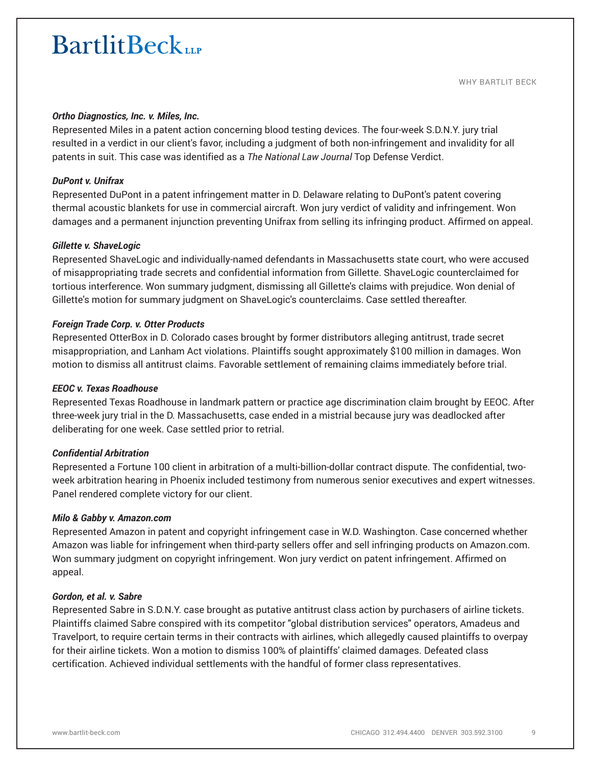WHY BARTLIT BECK

#### *Ortho Diagnostics, Inc. v. Miles, Inc.*

Represented Miles in a patent action concerning blood testing devices. The four-week S.D.N.Y. jury trial resulted in a verdict in our client's favor, including a judgment of both non-infringement and invalidity for all patents in suit. This case was identified as a *The National Law Journal* Top Defense Verdict.

## *DuPont v. Unifrax*

Represented DuPont in a patent infringement matter in D. Delaware relating to DuPont's patent covering thermal acoustic blankets for use in commercial aircraft. Won jury verdict of validity and infringement. Won damages and a permanent injunction preventing Unifrax from selling its infringing product. Affirmed on appeal.

#### *Gillette v. ShaveLogic*

Represented ShaveLogic and individually-named defendants in Massachusetts state court, who were accused of misappropriating trade secrets and confidential information from Gillette. ShaveLogic counterclaimed for tortious interference. Won summary judgment, dismissing all Gillette's claims with prejudice. Won denial of Gillette's motion for summary judgment on ShaveLogic's counterclaims. Case settled thereafter.

## *Foreign Trade Corp. v. Otter Products*

Represented OtterBox in D. Colorado cases brought by former distributors alleging antitrust, trade secret misappropriation, and Lanham Act violations. Plaintiffs sought approximately \$100 million in damages. Won motion to dismiss all antitrust claims. Favorable settlement of remaining claims immediately before trial.

#### *EEOC v. Texas Roadhouse*

Represented Texas Roadhouse in landmark pattern or practice age discrimination claim brought by EEOC. After three-week jury trial in the D. Massachusetts, case ended in a mistrial because jury was deadlocked after deliberating for one week. Case settled prior to retrial.

#### *Confidential Arbitration*

Represented a Fortune 100 client in arbitration of a multi-billion-dollar contract dispute. The confidential, twoweek arbitration hearing in Phoenix included testimony from numerous senior executives and expert witnesses. Panel rendered complete victory for our client.

#### *Milo & Gabby v. Amazon.com*

Represented Amazon in patent and copyright infringement case in W.D. Washington. Case concerned whether Amazon was liable for infringement when third-party sellers offer and sell infringing products on Amazon.com. Won summary judgment on copyright infringement. Won jury verdict on patent infringement. Affirmed on appeal.

#### *Gordon, et al. v. Sabre*

Represented Sabre in S.D.N.Y. case brought as putative antitrust class action by purchasers of airline tickets. Plaintiffs claimed Sabre conspired with its competitor "global distribution services" operators, Amadeus and Travelport, to require certain terms in their contracts with airlines, which allegedly caused plaintiffs to overpay for their airline tickets. Won a motion to dismiss 100% of plaintiffs' claimed damages. Defeated class certification. Achieved individual settlements with the handful of former class representatives.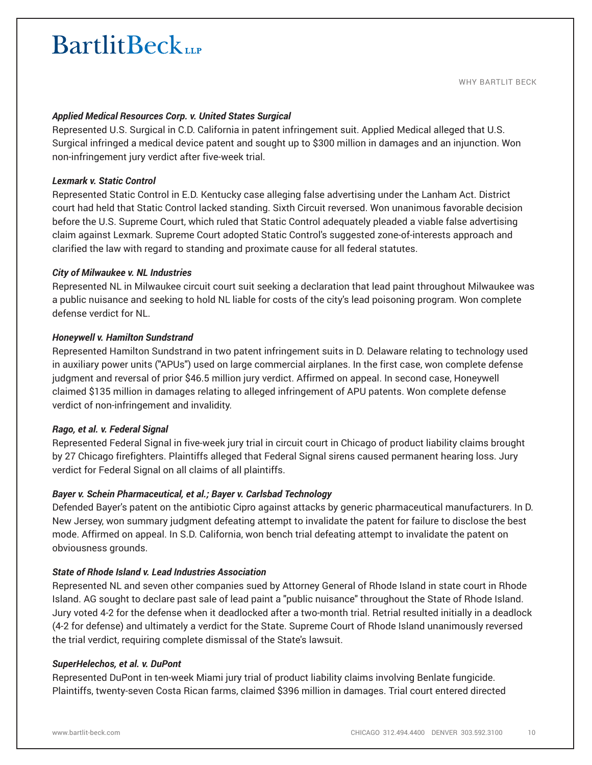#### *Applied Medical Resources Corp. v. United States Surgical*

Represented U.S. Surgical in C.D. California in patent infringement suit. Applied Medical alleged that U.S. Surgical infringed a medical device patent and sought up to \$300 million in damages and an injunction. Won non-infringement jury verdict after five-week trial.

#### *Lexmark v. Static Control*

Represented Static Control in E.D. Kentucky case alleging false advertising under the Lanham Act. District court had held that Static Control lacked standing. Sixth Circuit reversed. Won unanimous favorable decision before the U.S. Supreme Court, which ruled that Static Control adequately pleaded a viable false advertising claim against Lexmark. Supreme Court adopted Static Control's suggested zone-of-interests approach and clarified the law with regard to standing and proximate cause for all federal statutes.

#### *City of Milwaukee v. NL Industries*

Represented NL in Milwaukee circuit court suit seeking a declaration that lead paint throughout Milwaukee was a public nuisance and seeking to hold NL liable for costs of the city's lead poisoning program. Won complete defense verdict for NL.

#### *Honeywell v. Hamilton Sundstrand*

Represented Hamilton Sundstrand in two patent infringement suits in D. Delaware relating to technology used in auxiliary power units ("APUs") used on large commercial airplanes. In the first case, won complete defense judgment and reversal of prior \$46.5 million jury verdict. Affirmed on appeal. In second case, Honeywell claimed \$135 million in damages relating to alleged infringement of APU patents. Won complete defense verdict of non-infringement and invalidity.

## *Rago, et al. v. Federal Signal*

Represented Federal Signal in five-week jury trial in circuit court in Chicago of product liability claims brought by 27 Chicago firefighters. Plaintiffs alleged that Federal Signal sirens caused permanent hearing loss. Jury verdict for Federal Signal on all claims of all plaintiffs.

## *Bayer v. Schein Pharmaceutical, et al.; Bayer v. Carlsbad Technology*

Defended Bayer's patent on the antibiotic Cipro against attacks by generic pharmaceutical manufacturers. In D. New Jersey, won summary judgment defeating attempt to invalidate the patent for failure to disclose the best mode. Affirmed on appeal. In S.D. California, won bench trial defeating attempt to invalidate the patent on obviousness grounds.

#### *State of Rhode Island v. Lead Industries Association*

Represented NL and seven other companies sued by Attorney General of Rhode Island in state court in Rhode Island. AG sought to declare past sale of lead paint a "public nuisance" throughout the State of Rhode Island. Jury voted 4-2 for the defense when it deadlocked after a two-month trial. Retrial resulted initially in a deadlock (4-2 for defense) and ultimately a verdict for the State. Supreme Court of Rhode Island unanimously reversed the trial verdict, requiring complete dismissal of the State's lawsuit.

#### *SuperHelechos, et al. v. DuPont*

Represented DuPont in ten-week Miami jury trial of product liability claims involving Benlate fungicide. Plaintiffs, twenty-seven Costa Rican farms, claimed \$396 million in damages. Trial court entered directed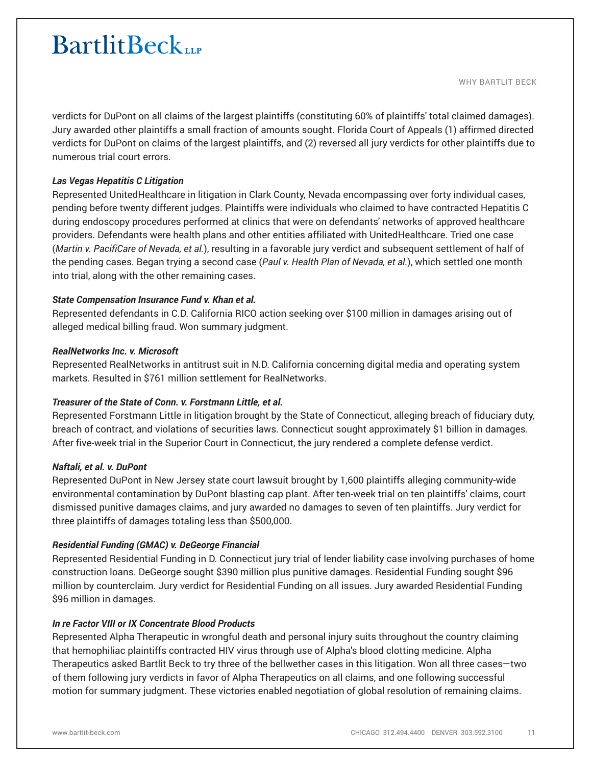WHY BARTLIT BECK

verdicts for DuPont on all claims of the largest plaintiffs (constituting 60% of plaintiffs' total claimed damages). Jury awarded other plaintiffs a small fraction of amounts sought. Florida Court of Appeals (1) affirmed directed verdicts for DuPont on claims of the largest plaintiffs, and (2) reversed all jury verdicts for other plaintiffs due to numerous trial court errors.

## *Las Vegas Hepatitis C Litigation*

Represented UnitedHealthcare in litigation in Clark County, Nevada encompassing over forty individual cases, pending before twenty different judges. Plaintiffs were individuals who claimed to have contracted Hepatitis C during endoscopy procedures performed at clinics that were on defendants' networks of approved healthcare providers. Defendants were health plans and other entities affiliated with UnitedHealthcare. Tried one case (*Martin v. PacifiCare of Nevada, et al.*), resulting in a favorable jury verdict and subsequent settlement of half of the pending cases. Began trying a second case (*Paul v. Health Plan of Nevada, et al.*), which settled one month into trial, along with the other remaining cases.

## *State Compensation Insurance Fund v. Khan et al.*

Represented defendants in C.D. California RICO action seeking over \$100 million in damages arising out of alleged medical billing fraud. Won summary judgment.

## *RealNetworks Inc. v. Microsoft*

Represented RealNetworks in antitrust suit in N.D. California concerning digital media and operating system markets. Resulted in \$761 million settlement for RealNetworks.

## *Treasurer of the State of Conn. v. Forstmann Little, et al.*

Represented Forstmann Little in litigation brought by the State of Connecticut, alleging breach of fiduciary duty, breach of contract, and violations of securities laws. Connecticut sought approximately \$1 billion in damages. After five-week trial in the Superior Court in Connecticut, the jury rendered a complete defense verdict.

## *Naftali, et al. v. DuPont*

Represented DuPont in New Jersey state court lawsuit brought by 1,600 plaintiffs alleging community-wide environmental contamination by DuPont blasting cap plant. After ten-week trial on ten plaintiffs' claims, court dismissed punitive damages claims, and jury awarded no damages to seven of ten plaintiffs. Jury verdict for three plaintiffs of damages totaling less than \$500,000.

## *Residential Funding (GMAC) v. DeGeorge Financial*

Represented Residential Funding in D. Connecticut jury trial of lender liability case involving purchases of home construction loans. DeGeorge sought \$390 million plus punitive damages. Residential Funding sought \$96 million by counterclaim. Jury verdict for Residential Funding on all issues. Jury awarded Residential Funding \$96 million in damages.

## *In re Factor VIII or IX Concentrate Blood Products*

Represented Alpha Therapeutic in wrongful death and personal injury suits throughout the country claiming that hemophiliac plaintiffs contracted HIV virus through use of Alpha's blood clotting medicine. Alpha Therapeutics asked Bartlit Beck to try three of the bellwether cases in this litigation. Won all three cases—two of them following jury verdicts in favor of Alpha Therapeutics on all claims, and one following successful motion for summary judgment. These victories enabled negotiation of global resolution of remaining claims.